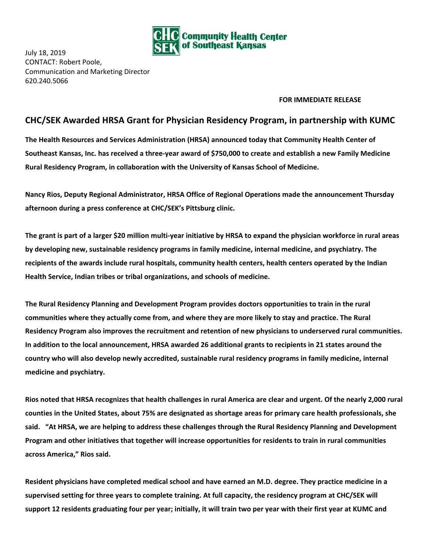

July 18, 2019 CONTACT: Robert Poole, Communication and Marketing Director 620.240.5066

## **FOR IMMEDIATE RELEASE**

## **CHC/SEK Awarded HRSA Grant for Physician Residency Program, in partnership with KUMC**

**The Health Resources and Services Administration (HRSA) announced today that Community Health Center of** Southeast Kansas, Inc. has received a three-year award of \$750,000 to create and establish a new Family Medicine **Rural Residency Program, in collaboration with the University of Kansas School of Medicine.**

**Nancy Rios, Deputy Regional Administrator, HRSA Office of Regional Operations made the announcement Thursday afternoon during a press conference at CHC/SEK's Pittsburg clinic.**

The grant is part of a larger \$20 million multi-year initiative by HRSA to expand the physician workforce in rural areas **by developing new, sustainable residency programs in family medicine, internal medicine, and psychiatry. The** recipients of the awards include rural hospitals, community health centers, health centers operated by the Indian **Health Service, Indian tribes or tribal organizations, and schools of medicine.**

**The Rural Residency Planning and Development Program provides doctors opportunities to train in the rural** communities where they actually come from, and where they are more likely to stay and practice. The Rural **Residency Program also improves the recruitment and retention of new physicians to underserved rural communities.** In addition to the local announcement, HRSA awarded 26 additional grants to recipients in 21 states around the **country who will also develop newly accredited, sustainable rural residency programs in family medicine, internal medicine and psychiatry.**

Rios noted that HRSA recognizes that health challenges in rural America are clear and urgent. Of the nearly 2,000 rural counties in the United States, about 75% are designated as shortage areas for primary care health professionals, she said. "At HRSA, we are helping to address these challenges through the Rural Residency Planning and Development Program and other initiatives that together will increase opportunities for residents to train in rural communities **across America," Rios said.**

Resident physicians have completed medical school and have earned an M.D. degree. They practice medicine in a supervised setting for three years to complete training. At full capacity, the residency program at CHC/SEK will support 12 residents graduating four per year; initially, it will train two per year with their first year at KUMC and